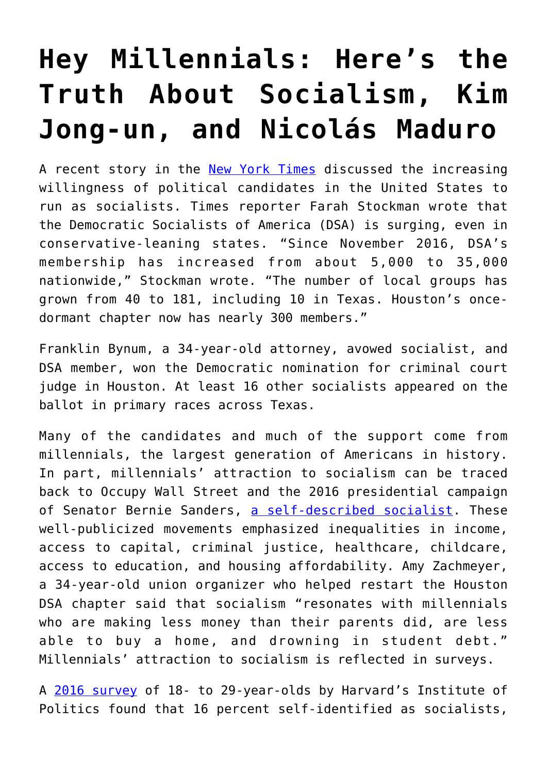## **[Hey Millennials: Here's the](https://intellectualtakeout.org/2018/06/hey-millennials-heres-the-truth-about-socialism-kim-jong-un-and-nicolas-maduro/) [Truth About Socialism, Kim](https://intellectualtakeout.org/2018/06/hey-millennials-heres-the-truth-about-socialism-kim-jong-un-and-nicolas-maduro/) [Jong-un, and Nicolás Maduro](https://intellectualtakeout.org/2018/06/hey-millennials-heres-the-truth-about-socialism-kim-jong-un-and-nicolas-maduro/)**

A recent story in the [New York Times](https://www.nytimes.com/2018/04/20/us/dsa-socialism-candidates-midterms.html) discussed the increasing willingness of political candidates in the United States to run as socialists. Times reporter Farah Stockman wrote that the Democratic Socialists of America (DSA) is surging, even in conservative-leaning states. "Since November 2016, DSA's membership has increased from about 5,000 to 35,000 nationwide," Stockman wrote. "The number of local groups has grown from 40 to 181, including 10 in Texas. Houston's oncedormant chapter now has nearly 300 members."

Franklin Bynum, a 34-year-old attorney, avowed socialist, and DSA member, won the Democratic nomination for criminal court judge in Houston. At least 16 other socialists appeared on the ballot in primary races across Texas.

Many of the candidates and much of the support come from millennials, the largest generation of Americans in history. In part, millennials' attraction to socialism can be traced back to Occupy Wall Street and the 2016 presidential campaign of Senator Bernie Sanders, [a self-described socialist](http://blog.independent.org/2016/03/04/why-bernie-sanders-is-morally-unfit-to-be-president/). These well-publicized movements emphasized inequalities in income, access to capital, criminal justice, healthcare, childcare, access to education, and housing affordability. Amy Zachmeyer, a 34-year-old union organizer who helped restart the Houston DSA chapter said that socialism "resonates with millennials who are making less money than their parents did, are less able to buy a home, and drowning in student debt." Millennials' attraction to socialism is reflected in surveys.

A [2016 survey](http://iop.harvard.edu/youth-poll/past/harvard-iop-spring-2016-poll) of 18- to 29-year-olds by Harvard's Institute of Politics found that 16 percent self-identified as socialists,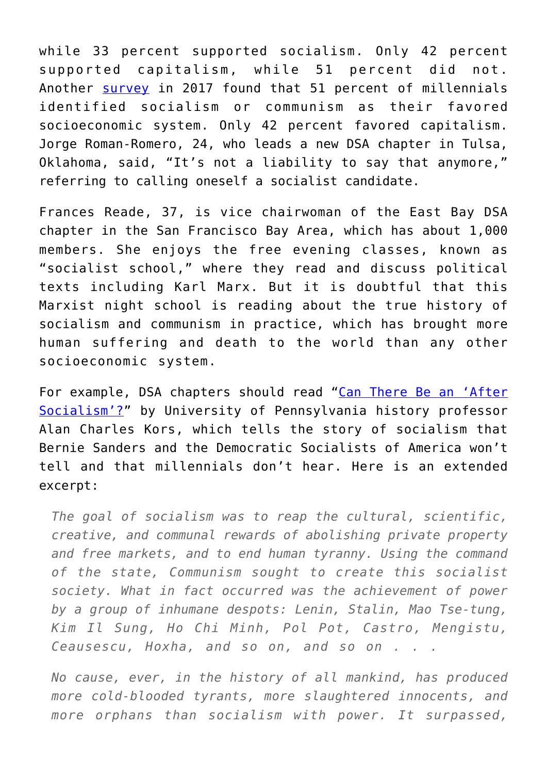while 33 percent supported socialism. Only 42 percent supported capitalism, while 51 percent did not. Another [survey](https://m.washingtontimes.com/news/2017/nov/4/majority-millennials-want-live-socialist-fascist-o/) in 2017 found that 51 percent of millennials identified socialism or communism as their favored socioeconomic system. Only 42 percent favored capitalism. Jorge Roman-Romero, 24, who leads a new DSA chapter in Tulsa, Oklahoma, said, "It's not a liability to say that anymore," referring to calling oneself a socialist candidate.

Frances Reade, 37, is vice chairwoman of the East Bay DSA chapter in the San Francisco Bay Area, which has about 1,000 members. She enjoys the free evening classes, known as "socialist school," where they read and discuss political texts including Karl Marx. But it is doubtful that this Marxist night school is reading about the true history of socialism and communism in practice, which has brought more human suffering and death to the world than any other socioeconomic system.

For example, DSA chapters should read "[Can There Be an 'After](https://atlassociety.org/objectivism/atlas-university/deeper-dive-blog/3962-can-there-be-an-after-socialism) [Socialism'?"](https://atlassociety.org/objectivism/atlas-university/deeper-dive-blog/3962-can-there-be-an-after-socialism) by University of Pennsylvania history professor Alan Charles Kors, which tells the story of socialism that Bernie Sanders and the Democratic Socialists of America won't tell and that millennials don't hear. Here is an extended excerpt:

*The goal of socialism was to reap the cultural, scientific, creative, and communal rewards of abolishing private property and free markets, and to end human tyranny. Using the command of the state, Communism sought to create this socialist society. What in fact occurred was the achievement of power by a group of inhumane despots: Lenin, Stalin, Mao Tse-tung, Kim Il Sung, Ho Chi Minh, Pol Pot, Castro, Mengistu, Ceausescu, Hoxha, and so on, and so on . . .*

*No cause, ever, in the history of all mankind, has produced more cold-blooded tyrants, more slaughtered innocents, and more orphans than socialism with power. It surpassed,*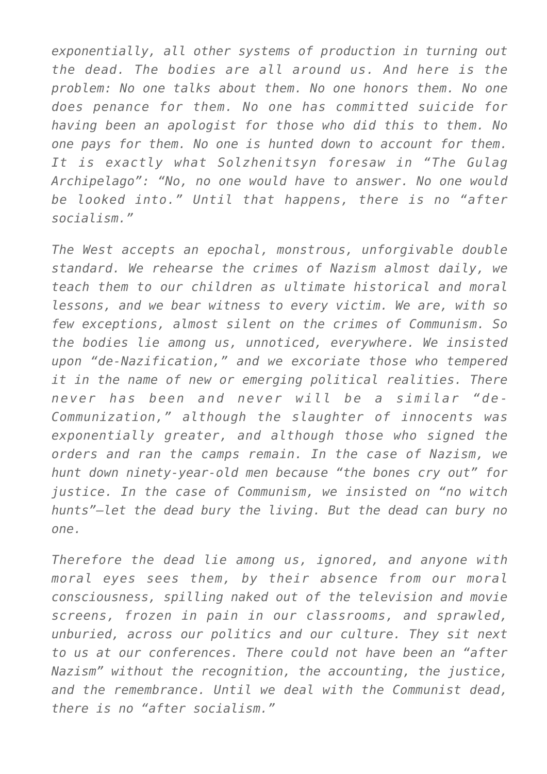*exponentially, all other systems of production in turning out the dead. The bodies are all around us. And here is the problem: No one talks about them. No one honors them. No one does penance for them. No one has committed suicide for having been an apologist for those who did this to them. No one pays for them. No one is hunted down to account for them. It is exactly what Solzhenitsyn foresaw in "The Gulag Archipelago": "No, no one would have to answer. No one would be looked into." Until that happens, there is no "after socialism."*

*The West accepts an epochal, monstrous, unforgivable double standard. We rehearse the crimes of Nazism almost daily, we teach them to our children as ultimate historical and moral lessons, and we bear witness to every victim. We are, with so few exceptions, almost silent on the crimes of Communism. So the bodies lie among us, unnoticed, everywhere. We insisted upon "de-Nazification," and we excoriate those who tempered it in the name of new or emerging political realities. There never has been and never will be a similar "de-Communization," although the slaughter of innocents was exponentially greater, and although those who signed the orders and ran the camps remain. In the case of Nazism, we hunt down ninety-year-old men because "the bones cry out" for justice. In the case of Communism, we insisted on "no witch hunts"—let the dead bury the living. But the dead can bury no one.*

*Therefore the dead lie among us, ignored, and anyone with moral eyes sees them, by their absence from our moral consciousness, spilling naked out of the television and movie screens, frozen in pain in our classrooms, and sprawled, unburied, across our politics and our culture. They sit next to us at our conferences. There could not have been an "after Nazism" without the recognition, the accounting, the justice, and the remembrance. Until we deal with the Communist dead, there is no "after socialism."*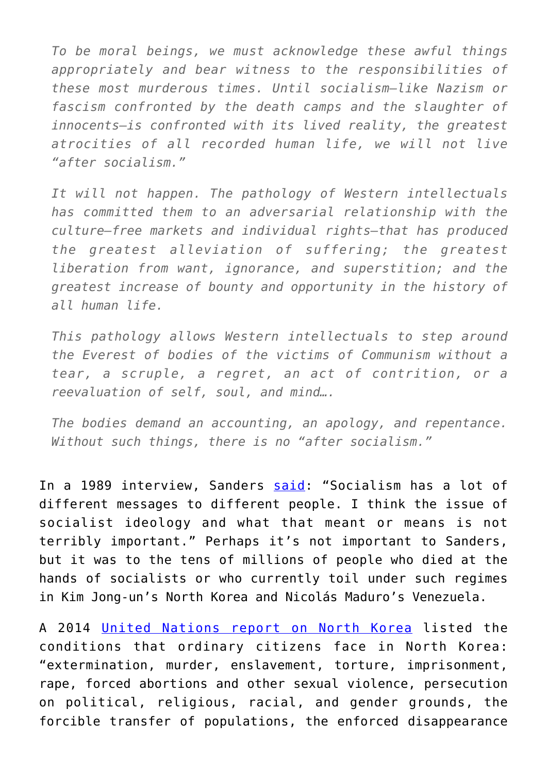*To be moral beings, we must acknowledge these awful things appropriately and bear witness to the responsibilities of these most murderous times. Until socialism—like Nazism or fascism confronted by the death camps and the slaughter of innocents—is confronted with its lived reality, the greatest atrocities of all recorded human life, we will not live "after socialism."*

*It will not happen. The pathology of Western intellectuals has committed them to an adversarial relationship with the culture—free markets and individual rights—that has produced the greatest alleviation of suffering; the greatest liberation from want, ignorance, and superstition; and the greatest increase of bounty and opportunity in the history of all human life.*

*This pathology allows Western intellectuals to step around the Everest of bodies of the victims of Communism without a tear, a scruple, a regret, an act of contrition, or a reevaluation of self, soul, and mind….*

*The bodies demand an accounting, an apology, and repentance. Without such things, there is no "after socialism."*

In a 1989 interview, Sanders [said](https://www.politico.com/story/2015/07/14-things-bernie-sanders-has-said-about-socialism-120265#ixzz41sem0HdL): "Socialism has a lot of different messages to different people. I think the issue of socialist ideology and what that meant or means is not terribly important." Perhaps it's not important to Sanders, but it was to the tens of millions of people who died at the hands of socialists or who currently toil under such regimes in Kim Jong-un's North Korea and Nicolás Maduro's Venezuela.

A 2014 [United Nations report on North Korea](https://www.ohchr.org/EN/HRBodies/HRC/CoIDPRK/Pages/ReportoftheCommissionofInquiryDPRK.aspx) listed the conditions that ordinary citizens face in North Korea: "extermination, murder, enslavement, torture, imprisonment, rape, forced abortions and other sexual violence, persecution on political, religious, racial, and gender grounds, the forcible transfer of populations, the enforced disappearance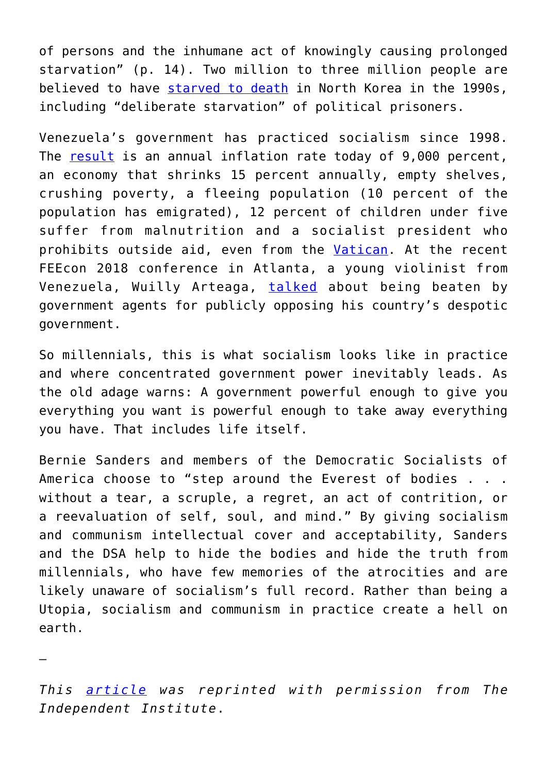of persons and the inhumane act of knowingly causing prolonged starvation" (p. 14). Two million to three million people are believed to have [starved to death](https://www.nytimes.com/2018/06/11/world/asia/north-korea-human-rights.html) in North Korea in the 1990s, including "deliberate starvation" of political prisoners.

Venezuela's government has practiced socialism since 1998. The [result](https://mises.org/wire/millennial-candidates-embrace-socialism-while-venezuela-chokes-it) is an annual inflation rate today of 9,000 percent, an economy that shrinks 15 percent annually, empty shelves, crushing poverty, a fleeing population (10 percent of the population has emigrated), 12 percent of children under five suffer from malnutrition and a socialist president who prohibits outside aid, even from the [Vatican.](http://www.ncregister.com/daily-news/how-can-the-vatican-aid-an-impoverished-venezuela) At the recent FEEcon 2018 conference in Atlanta, a young violinist from Venezuela, Wuilly Arteaga, [talked](http://www.stgnews.com/news/archive/2018/06/11/perspectives-why-our-freedom-and-personal-character-are-inseparable/#.Wx_ybVMvx7M) about being beaten by government agents for publicly opposing his country's despotic government.

So millennials, this is what socialism looks like in practice and where concentrated government power inevitably leads. As the old adage warns: A government powerful enough to give you everything you want is powerful enough to take away everything you have. That includes life itself.

Bernie Sanders and members of the Democratic Socialists of America choose to "step around the Everest of bodies . . . without a tear, a scruple, a regret, an act of contrition, or a reevaluation of self, soul, and mind." By giving socialism and communism intellectual cover and acceptability, Sanders and the DSA help to hide the bodies and hide the truth from millennials, who have few memories of the atrocities and are likely unaware of socialism's full record. Rather than being a Utopia, socialism and communism in practice create a hell on earth.

*This [article](http://blog.independent.org/2018/06/14/hey-millennials-heres-the-unromantic-truth-about-socialism-kim-jong-un-and-nicolas-maduro/) was reprinted with permission from The Independent Institute*.

—